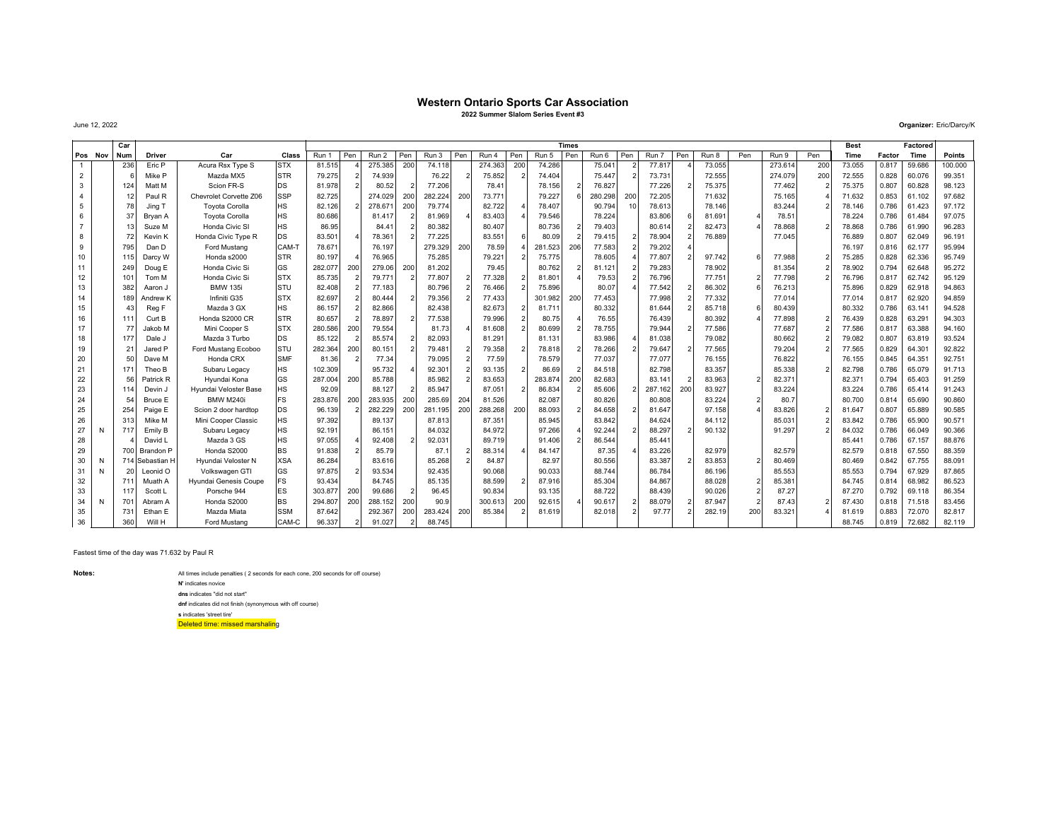## **Western Ontario Sports Car Association**

**2022 Summer Slalom Series Event #3**

June 12, 2022

|                |   | Car |                     |                        |            |         |            |         |                |         |     |         |                |         | <b>Times</b> |         |                |                |             |     |                        |               | <b>Best</b> |        | Factored |               |
|----------------|---|-----|---------------------|------------------------|------------|---------|------------|---------|----------------|---------|-----|---------|----------------|---------|--------------|---------|----------------|----------------|-------------|-----|------------------------|---------------|-------------|--------|----------|---------------|
| Pos Nov        |   | Num | <b>Driver</b>       | Car                    | Class      | Run 1   | Pen        | Run 2   | Pen            | Run 3   | Pen | Run 4   | Pen            | Run 5   | Pen          | Run 6   | Pen            | Pen<br>Run 7   | Run 8       | Pen | Run 9                  | Pen           | Time        | Factor | Time     | <b>Points</b> |
| 1              |   | 236 | Eric P              | Acura Rsx Type S       | <b>STX</b> | 81.515  |            | 275.385 | 200            | 74.118  |     | 274.363 | 200            | 74.286  |              | 75.041  | 2              | 77.817         | 73.055      |     | 273.614                | 200           | 73.055      | 0.817  | 59.686   | 100.000       |
| $\overline{2}$ |   |     | Mike P              | Mazda MX5              | <b>STR</b> | 79.275  |            | 74,939  |                | 76.22   |     | 75.852  | $\overline{2}$ | 74,404  |              | 75.447  | $\overline{2}$ | 73.731         | 72.555      |     | 274.079                | 200           | 72.555      | 0.828  | 60.076   | 99.351        |
| 3              |   | 124 | Matt M              | Scion FR-S             | DS         | 81,978  |            | 80.52   |                | 77.206  |     | 78.41   |                | 78.156  |              | 76.827  |                | 77.226         | 75.375<br>2 |     | 77.462                 |               | 75.375      | 0.807  | 60.828   | 98.123        |
| 4              |   | 12  | Paul R              | Chevrolet Corvette Z06 | <b>SSP</b> | 82.725  |            | 274.029 | 200            | 282.224 | 200 | 73.771  |                | 79.227  |              | 280.298 | 200            | 72.205         | 71.632      |     | 75.165                 |               | 71.632      | 0.853  | 61.102   | 97.682        |
| 5              |   | 78  | Jing T              | <b>Toyota Corolla</b>  | <b>HS</b>  | 82.126  |            | 278.67  | 200            | 79.774  |     | 82.722  |                | 78,407  |              | 90.794  | 10             | 78.613         | 78.146      |     | 83.244                 |               | 78.146      | 0.786  | 61.423   | 97.172        |
| 6              |   | 37  | Brvan A             | <b>Toyota Corolla</b>  | <b>HS</b>  | 80.686  |            | 81.41   | $\overline{2}$ | 81.969  |     | 83.403  |                | 79.546  |              | 78.224  |                | 83.806         | 81.691      |     | 78.51                  |               | 78.224      | 0.786  | 61.484   | 97.075        |
| $\overline{7}$ |   |     | Suze M              | Honda Civic SI         | <b>HS</b>  | 86.95   |            | 84.4    |                | 80.382  |     | 80.407  |                | 80.736  |              | 79.403  |                | 80.614         | 82.473      |     | 78,868                 | $\mathcal{P}$ | 78.868      | 0.786  | 61.990   | 96.283        |
| 8              |   | 72  | Kevin K             | Honda Civic Type R     | DS         | 83.501  |            | 78.36   |                | 77.225  |     | 83.551  | 6              | 80.09   |              | 79.415  | $\overline{2}$ | 78.904         | 76.889      |     | 77.045                 |               | 76.889      | 0.807  | 62.049   | 96.191        |
| 9              |   | 795 | Dan D               | Ford Mustang           | CAM-T      | 78.671  |            | 76.197  |                | 279.329 | 200 | 78.59   |                | 281.523 | 206          | 77.583  | $\overline{2}$ | 79.202         |             |     |                        |               | 76.197      | 0.816  | 62.177   | 95.994        |
| 10             |   | 115 | Darcy W             | Honda s2000            | <b>STR</b> | 80.197  |            | 76.965  |                | 75.285  |     | 79.221  |                | 75.775  |              | 78.605  |                | 77,807         | 97.742      |     | ĥ<br>77.988            | $\mathcal{P}$ | 75.285      | 0.828  | 62.336   | 95.749        |
| 11             |   | 249 | Doug E              | Honda Civic Si         | GS         | 282.077 | 200        | 279.06  | 200            | 81.202  |     | 79.45   |                | 80.762  |              | 81.121  |                | 79.283         | 78.902      |     | 81.354                 |               | 78.902      | 0.794  | 62.648   | 95.272        |
| 12             |   | 101 | Tom M               | Honda Civic Si         | <b>STX</b> | 85.735  |            | 79.77   | $\mathcal{P}$  | 77.807  |     | 77.328  |                | 81.801  |              | 79.53   |                | 76.796         | 77.751      |     | 77.798                 |               | 76.796      | 0.817  | 62.742   | 95.129        |
| 13             |   | 382 | Aaron J             | <b>BMW 135i</b>        | lstu       | 82.408  |            | 77.183  |                | 80.796  |     | 76.466  |                | 75.896  |              | 80.07   |                | 77.542         | 86.302      |     | 76.213                 |               | 75.896      | 0.829  | 62.918   | 94.863        |
| 14             |   | 189 | Andrew <sub>K</sub> | Infiniti G35           | <b>STX</b> | 82.697  |            | 80,444  |                | 79.356  |     | 77,433  |                | 301.982 | 200          | 77.453  |                | 77,998         | 77.332      |     | 77.014                 |               | 77.014      | 0.81   | 62.920   | 94.859        |
| 15             |   | 4:  | Reg F               | Mazda 3 GX             | <b>HS</b>  | 86.157  |            | 82,866  |                | 82.438  |     | 82.673  | $\mathcal{P}$  | 81.711  |              | 80.332  |                | 81.644         | 85.718      |     | 80.439                 |               | 80.332      | 0.786  | 63.141   | 94.528        |
| 16             |   | 11' | Curt B              | Honda S2000 CR         | <b>STR</b> | 80.657  |            | 78.897  |                | 77.538  |     | 79.996  |                | 80.75   |              | 76.55   |                | 76.439         | 80.392      |     | 77.898                 | $\mathcal{P}$ | 76.439      | 0.828  | 63.291   | 94.303        |
| 17             |   | 77  | Jakob M             | Mini Cooper S          | <b>STX</b> | 280.586 | 200        | 79.554  |                | 81.73   |     | 81.608  |                | 80.699  |              | 78.755  |                | 79.944         | 77.586      |     | 77.687                 |               | 77.586      | 0.81   | 63.388   | 94.160        |
| 18             |   | 177 | Dale J              | Mazda 3 Turbo          | DS         | 85.122  |            | 85.574  |                | 82.093  |     | 81.291  |                | 81.131  |              | 83.986  |                | 81.038         | 79.082      |     | 80.662                 |               | 79.082      | 0.807  | 63.819   | 93.524        |
| 19             |   | 21  | Jared P             | Ford Mustang Ecoboo    | <b>STU</b> | 282.364 | 200        | 80.15'  |                | 79.481  |     | 79.358  |                | 78.818  |              | 78.266  |                | 79.647         | 77.565      |     | 79.204                 |               | 77.565      | 0.829  | 64.301   | 92.822        |
| 20             |   | 50  | Dave M              | Honda CRX              | <b>SMF</b> | 81.36   |            | 77.34   |                | 79.095  |     | 77.59   |                | 78.579  |              | 77.037  |                | 77,077         | 76.155      |     | 76.822                 |               | 76.155      | 0.845  | 64.351   | 92.751        |
| 21             |   | 17' | Theo B              | Subaru Legacy          | <b>HS</b>  | 102.309 |            | 95.732  |                | 92.301  |     | 93.135  | 2              | 86.69   |              | 84.518  |                | 82.798         | 83.357      |     | 85.338                 |               | 82.798      | 0.786  | 65.079   | 91.713        |
| 22             |   | 56  | Patrick R           | Hvundai Kona           | GS         | 287.004 | 200        | 85.788  |                | 85.982  |     | 83.653  |                | 283.874 | 200          | 82.683  |                | 83.141         | 83.963      |     | 82.371                 |               | 82.371      | 0.794  | 65.403   | 91.259        |
| 23             |   | 114 | Devin J             | Hvundai Veloster Base  | <b>HS</b>  | 92.09   |            | 88.12   |                | 85.947  |     | 87.051  |                | 86.834  |              | 85.606  |                | 200<br>287.162 | 83.927      |     | 83.224                 |               | 83.224      | 0.786  | 65.414   | 91.243        |
| 24             |   | 54  | Bruce E             | BMW M240i              | <b>FS</b>  | 283.876 | 200        | 283.935 | 200            | 285.69  | 204 | 81.526  |                | 82.087  |              | 80.826  |                | 80.808         | 83.224      |     | 80.7<br>$\overline{2}$ |               | 80,700      | 0.814  | 65,690   | 90.860        |
| 25             |   | 254 | Paige E             | Scion 2 door hardtop   | DS         | 96.139  |            | 282.22  | 200            | 281.195 | 200 | 288.268 | 200            | 88.093  |              | 84.658  |                | 81.647         | 97.158      |     | 83.826                 |               | 81.647      | 0.807  | 65.889   | 90.585        |
| 26             |   | 31  | Mike M              | Mini Cooper Classic    | <b>HS</b>  | 97.392  |            | 89.13   |                | 87.813  |     | 87.351  |                | 85.945  |              | 83.842  |                | 84.624         | 84.112      |     | 85.031                 |               | 83.842      | 0.786  | 65.900   | 90.571        |
| 27             | N | 717 | Emily B             | Subaru Legacy          | <b>HS</b>  | 92.191  |            | 86.15   |                | 84.032  |     | 84.972  |                | 97.266  |              | 92.244  |                | 88.297         | 90.132      |     | 91.297                 |               | 84.032      | 0.786  | 66.049   | 90.366        |
| 28             |   |     | David L             | Mazda 3 GS             | <b>HS</b>  | 97.055  |            | 92.408  |                | 92.03'  |     | 89.719  |                | 91.406  |              | 86.544  |                | 85.441         |             |     |                        |               | 85.441      | 0.786  | 67.157   | 88.876        |
| 29             |   | 700 | <b>Brandon P</b>    | Honda S2000            | <b>BS</b>  | 91.838  |            | 85.79   |                | 87.7    |     | 88.314  |                | 84.147  |              | 87.35   |                | 83.226         | 82.979      |     | 82.579                 |               | 82.579      | 0.818  | 67,550   | 88.359        |
| 30             | N |     | 714 Sebastian H     | Hvundai Veloster N     | <b>XSA</b> | 86.284  |            | 83,616  |                | 85.268  |     | 84.87   |                | 82.97   |              | 80.556  |                | 83.387         | 83.853      |     | 80.469                 |               | 80.469      | 0.842  | 67.755   | 88.091        |
| 31             | N | 20  | Leonid O            | Volkswagen GTI         | GS         | 97.875  |            | 93.534  |                | 92.435  |     | 90.068  |                | 90.033  |              | 88.744  |                | 86.784         | 86.196      |     | 85.553                 |               | 85.553      | 0.794  | 67.929   | 87.865        |
| 32             |   | 71  | Muath A             | Hyundai Genesis Coupe  | FS         | 93.434  |            | 84.745  |                | 85.135  |     | 88.599  |                | 87.916  |              | 85.304  |                | 84.867         | 88.028      |     | 85.381                 |               | 84.745      | 0.814  | 68.982   | 86.523        |
| 33             |   | 11  | Scott L             | Porsche 944            | ES         | 303.877 | 200<br>200 | 99.686  |                | 96.45   |     | 90.834  |                | 93.135  |              | 88.722  |                | 88.439         | 90.026      |     | 87.27                  |               | 87.270      | 0.792  | 69.118   | 86.354        |
| 34             | N | 70  | Abram A             | Honda S2000            | <b>BS</b>  | 294.807 |            | 288.152 | 200            | 90.9    |     | 300.613 | 200            | 92.615  |              | 90.617  |                | 88.079         | 87.947      |     | 87.43                  |               | 87.430      | 0.818  | 71.518   | 83.456        |
| 35             |   | 731 | Ethan E             | Mazda Miata            | <b>SSM</b> | 87.642  |            | 292.36  | 200            | 283.424 | 200 | 85.384  |                | 81.619  |              | 82.018  |                | 97.77          | 282.19      | 200 | 83.321                 |               | 81.619      | 0.883  | 72.070   | 82.817        |

36 360 Will H Ford Mustang CAM-C 96.337 2 91.027 2 88.745 | | | | | | | | | | | | | | | 88.745 0.819 72.682 82.119

Fastest time of the day was 71.632 by Paul R

**Notes:**

All times include penalties ( 2 seconds for each cone, 200 seconds for off course)

**N'** indicates novice

 **dns** indicates "did not start" **dnf** indicates did not finish (synonymous with off course)**s** indicates 'street tire'

Deleted time: missed marshaling

**Organizer:** Eric/Darcy/K